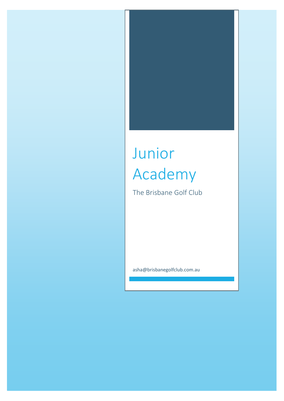# Junior Academy

The Brisbane Golf Club

asha@brisbanegolfclub.com.au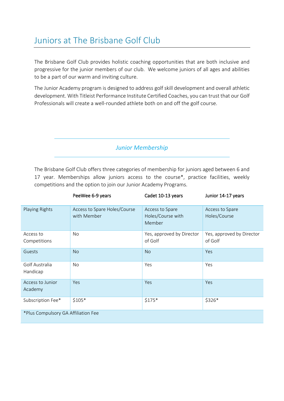# Juniors at The Brisbane Golf Club

The Brisbane Golf Club provides holistic coaching opportunities that are both inclusive and progressive for the junior members of our club. We welcome juniors of all ages and abilities to be a part of our warm and inviting culture.

The Junior Academy program is designed to address golf skill development and overall athletic development. With Titleist Performance Institute Certified Coaches, you can trust that our Golf Professionals will create a well-rounded athlete both on and off the golf course.

*Junior Membership* 

The Brisbane Golf Club offers three categories of membership for juniors aged between 6 and 17 year. Memberships allow juniors access to the course\*, practice facilities, weekly competitions and the option to join our Junior Academy Programs.

|                                     | PeeWee 6-9 years                            | Cadet 10-13 years                              | Junior 14-17 years                   |  |  |
|-------------------------------------|---------------------------------------------|------------------------------------------------|--------------------------------------|--|--|
| Playing Rights                      | Access to Spare Holes/Course<br>with Member | Access to Spare<br>Holes/Course with<br>Member | Access to Spare<br>Holes/Course      |  |  |
| Access to<br>Competitions           | No                                          | Yes, approved by Director<br>of Golf           | Yes, approved by Director<br>of Golf |  |  |
| Guests                              | <b>No</b>                                   | <b>No</b>                                      | Yes                                  |  |  |
| Golf Australia<br>Handicap          | No                                          | Yes                                            | Yes                                  |  |  |
| Access to Junior<br>Academy         | Yes                                         | Yes                                            | <b>Yes</b>                           |  |  |
| Subscription Fee*                   | $$105*$                                     | $$175*$                                        | \$326*                               |  |  |
| *Plus Compulsory GA Affiliation Fee |                                             |                                                |                                      |  |  |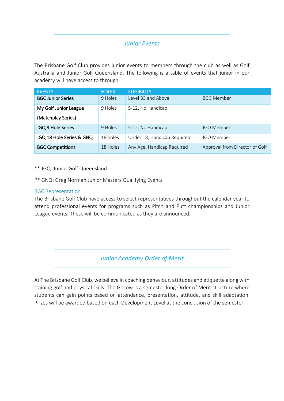#### *Junior Events*

The Brisbane Golf Club provides junior events to members through the club as well as Golf Australia and Junior Golf Queensland. The following is a table of events that junior in our academy will have access to through

| <b>EVENTS</b>            | <b>HOLES</b> | <b>ELIGIBILITY</b>          |                                |
|--------------------------|--------------|-----------------------------|--------------------------------|
| <b>BGC Junior Series</b> | 9 Holes      | Level B3 and Above          | <b>BGC Member</b>              |
| My Golf Junior League    | 9 Holes      | 5-12, No Handicap           |                                |
| (Matchplay Series)       |              |                             |                                |
| JGQ 9 Hole Series        | 9 Holes      | 5-12, No Handicap           | <b>JGQ Member</b>              |
| JGQ 18 Hole Series & GNQ | 18 holes     | Under 18, Handicap Required | <b>JGQ Member</b>              |
| <b>BGC Competitions</b>  | 18 Holes     | Any Age, Handicap Required  | Approval from Director of Golf |

\*\* JGQ: Junior Golf Queensland

\*\* GNQ: Greg Norman Junior Masters Qualifying Events

#### BGC Representation

The Brisbane Golf Club have access to select representatives throughout the calendar year to attend professional events for programs such as Pitch and Putt championships and Junior League events. These will be communicated as they are announced.

*Junior Academy Order of Merit*

At The Brisbane Golf Club, we believe in coaching behaviour, attitudes and etiquette along with training golf and physical skills. The GoLow is a semester long Order of Merit structure where students can gain points based on attendance, presentation, attitude, and skill adaptation. Prizes will be awarded based on each Development Level at the conclusion of the semester.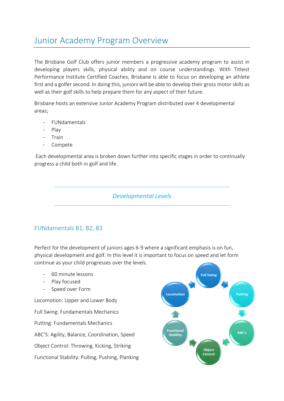## Junior Academy Program Overview

The Brisbane Golf Club offers junior members a progressive academy program to assist in developing players skills, physical ability and on course understandings. With Titleist Performance Institute Certified Coaches, Brisbane is able to focus on developing an athlete first and a golfer second. In doing this, juniors will be able to develop their gross motor skills as well as their golf skills to help prepare them for any aspect of their future.

Brisbane hosts an extensive Junior Academy Program distributed over 4 developmental areas;

- FUNdamentals
- Play
- Train
- Compete

Each developmental area is broken down further into specific stages in order to continually progress a child both in golf and life.

#### *Developmental Levels*

#### FUNdamentals B1, B2, B3

Perfect for the development of juniors ages 6-9 where a significant emphasis is on fun, physical development and golf. In this level it is important to focus on speed and let form continue as your child progresses over the levels.

- 60 minute lessons
- Play focused
- Speed over Form

Locomotion: Upper and Lower Body Full Swing: Fundamentals Mechanics Putting: Fundamentals Mechanics ABC'S: Agility, Balance, Coordination, Speed Object Control: Throwing, Kicking, Striking Functional Stability: Pulling, Pushing, Planking

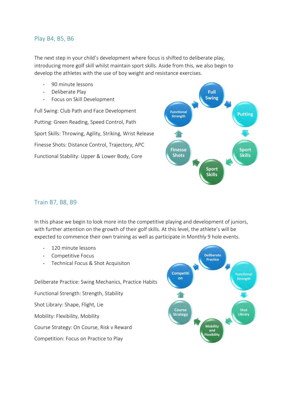#### Play B4, B5, B6

The next step in your child's development where focus is shifted to deliberate play, introducing more golf skill whilst maintain sport skills. Aside from this, we also begin to develop the athletes with the use of boy weight and resistance exercises.

- 90 minute lessons
- Deliberate Play
- Focus on Skill Development

Full Swing: Club Path and Face Development Putting: Green Reading, Speed Control, Path Sport Skills: Throwing, Agility, Striking, Wrist Release Finesse Shots: Distance Control, Trajectory, APC Functional Stability: Upper & Lower Body, Core



#### Train B7, B8, B9

In this phase we begin to look more into the competitive playing and development of juniors, with further attention on the growth of their golf skills. At this level, the athlete's will be expected to commence their own training as well as participate in Monthly 9 hole events.

- 120 minute lessons
- Competitive Focus
- Technical Focus & Shot Acquisiton

Deliberate Practice: Swing Mechanics, Practice Habits Functional Strength: Strength, Stability Shot Library: Shape, Flight, Lie Mobility: Flexibility, Mobility Course Strategy: On Course, Risk v Reward Competition: Focus on Practice to Play

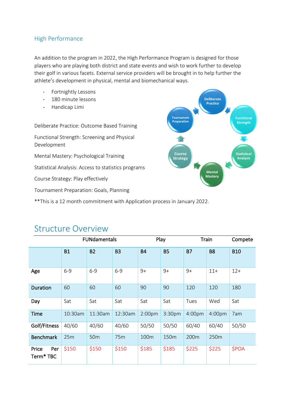#### High Performance

An addition to the program in 2022, the High Performance Program is designed for those players who are playing both district and state events and wish to work further to develop their golf in various facets. External service providers will be brought in to help further the athlete's development in physical, mental and biomechanical ways.

- Fortnightly Lessons
- 180 minute lessons
- Handicap Limi

Deliberate Practice: Outcome Based Training

Functional Strength: Screening and Physical Development

Mental Mastery: Psychological Training

Statistical Analysis: Access to statistics programs

Course Strategy: Play effectively

Tournament Preparation: Goals, Planning

\*\*This is a 12 month commitment with Application process in January 2022.



### Structure Overview